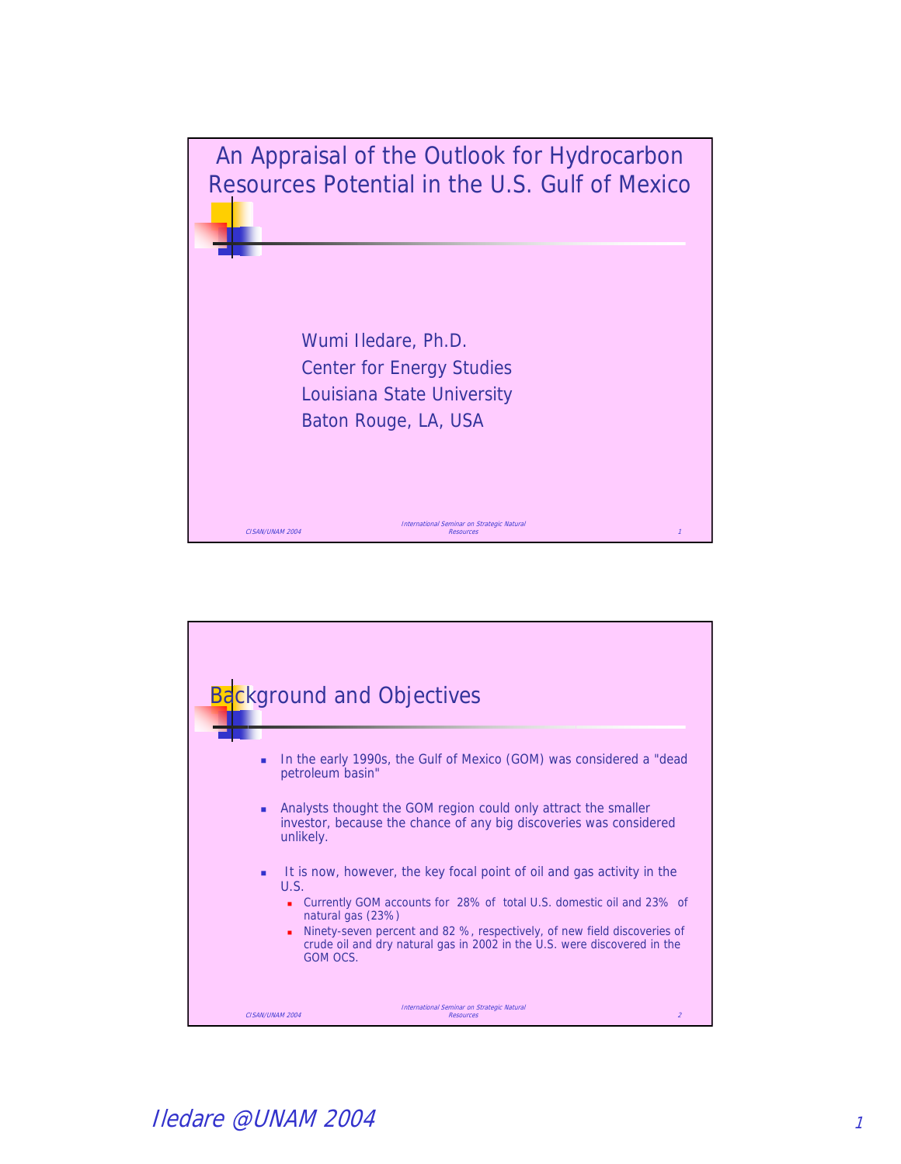

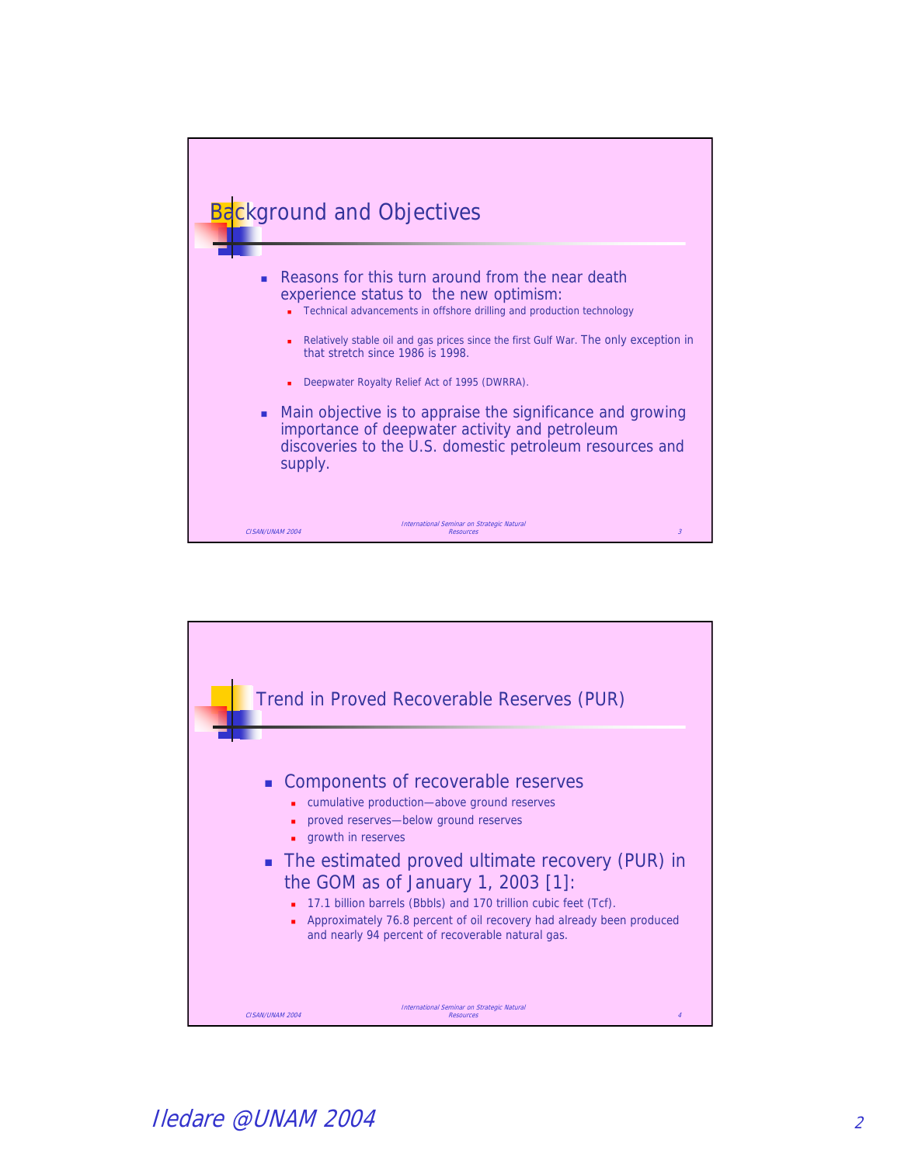

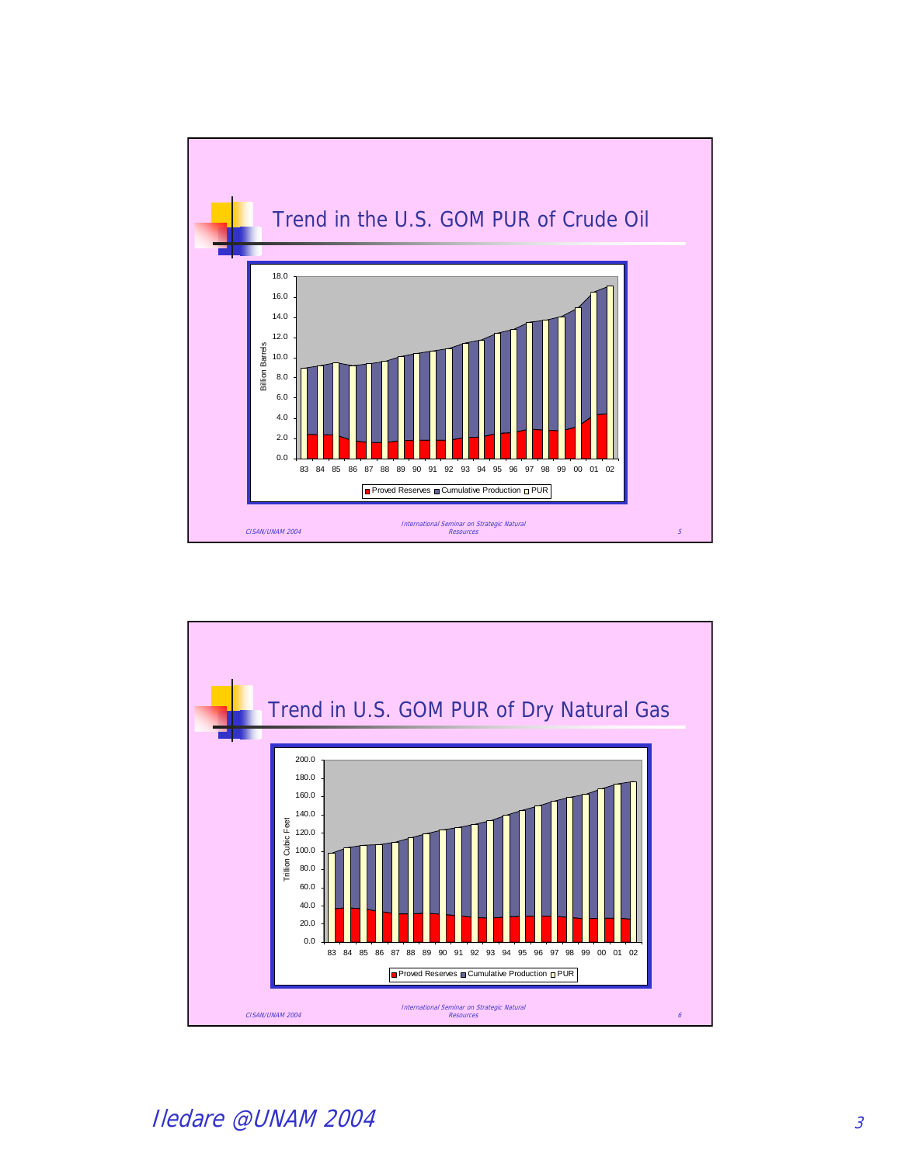

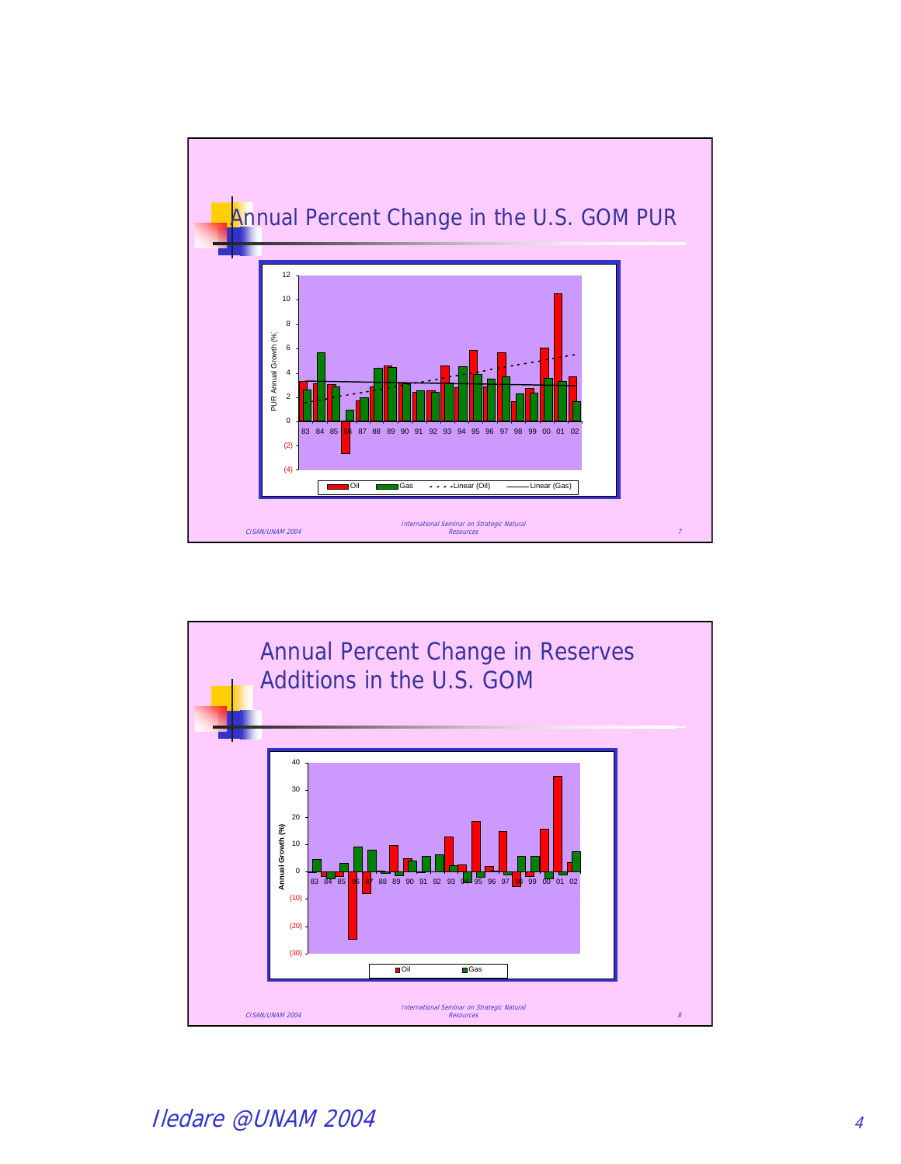

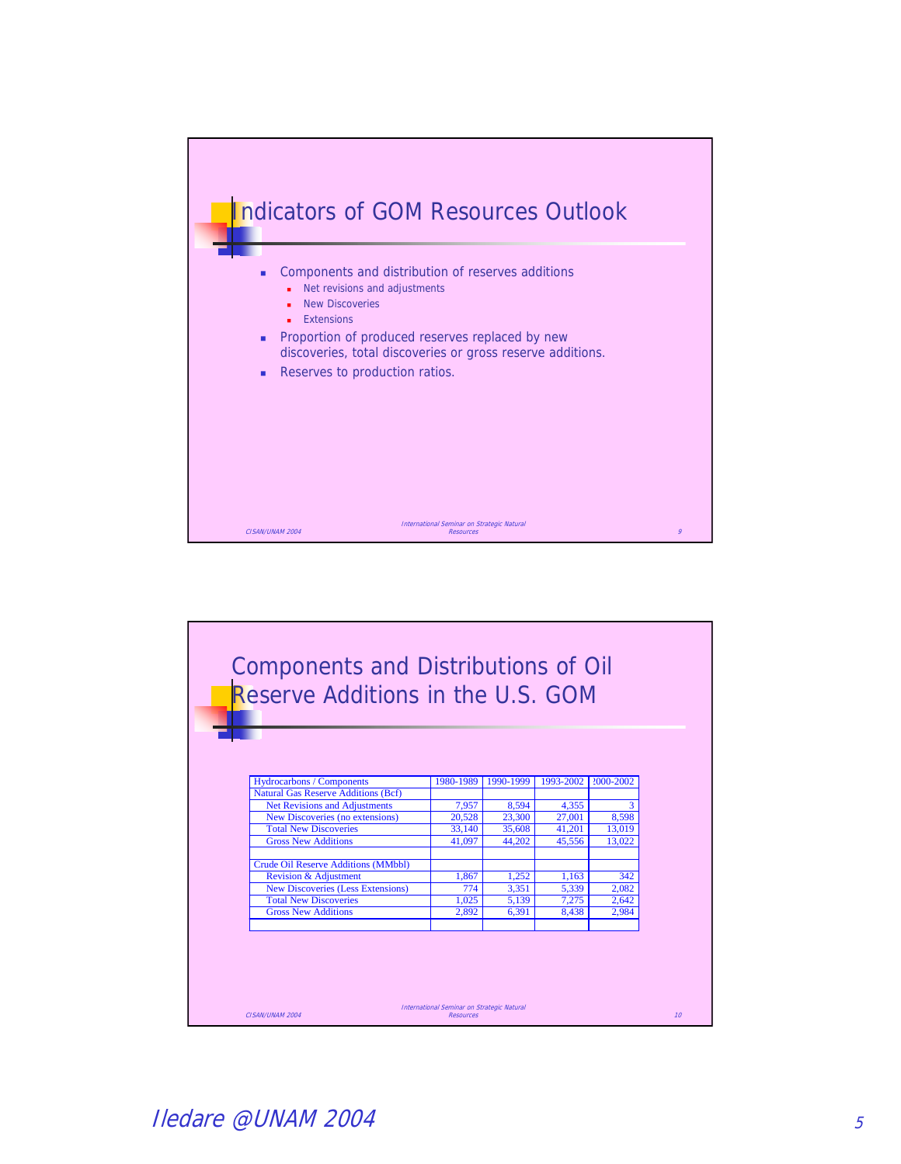

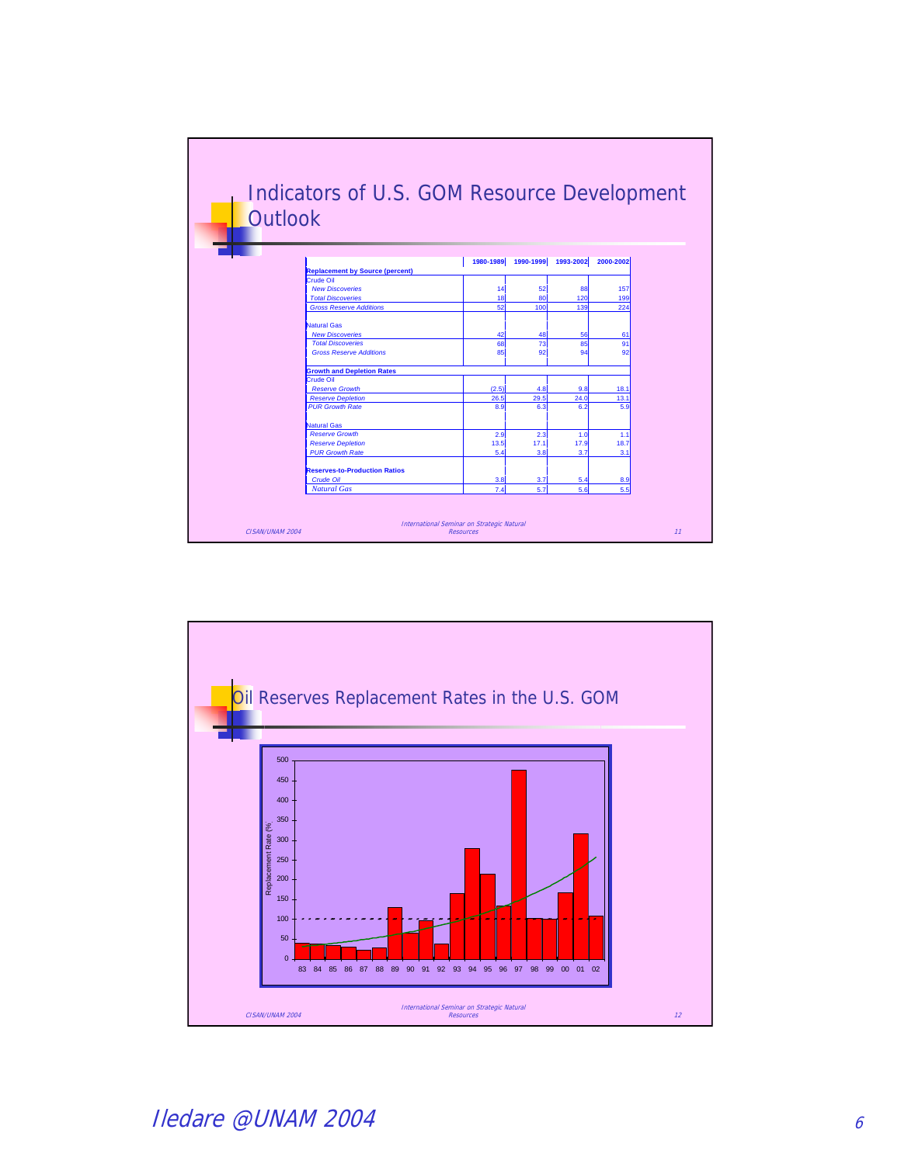

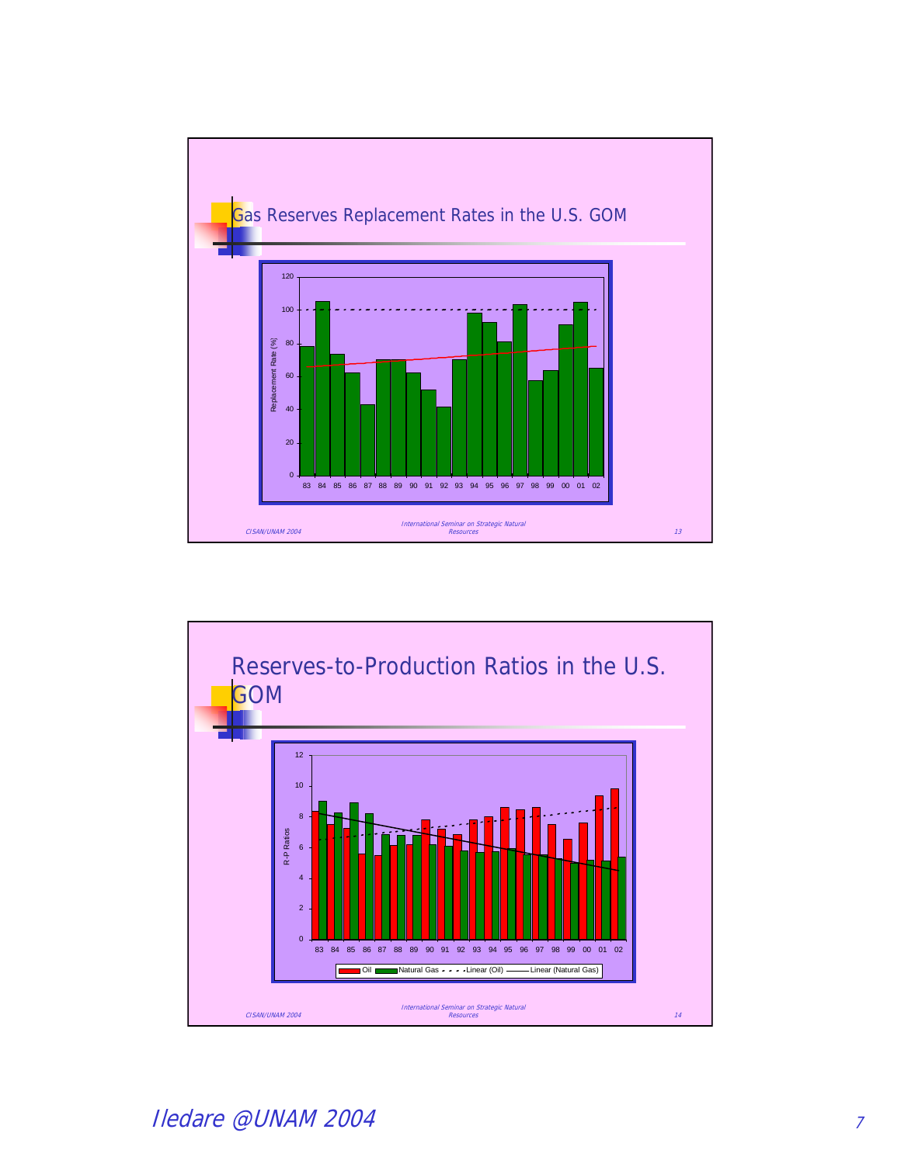

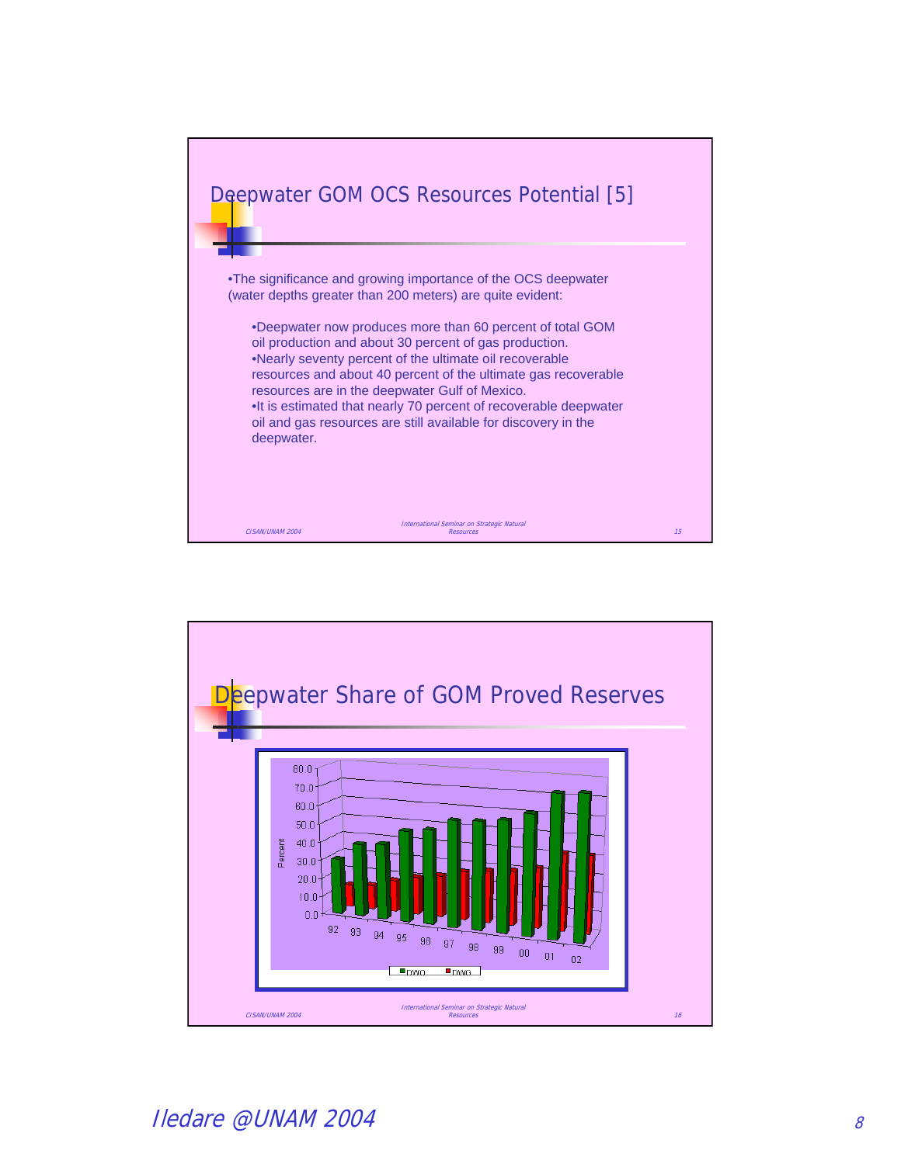

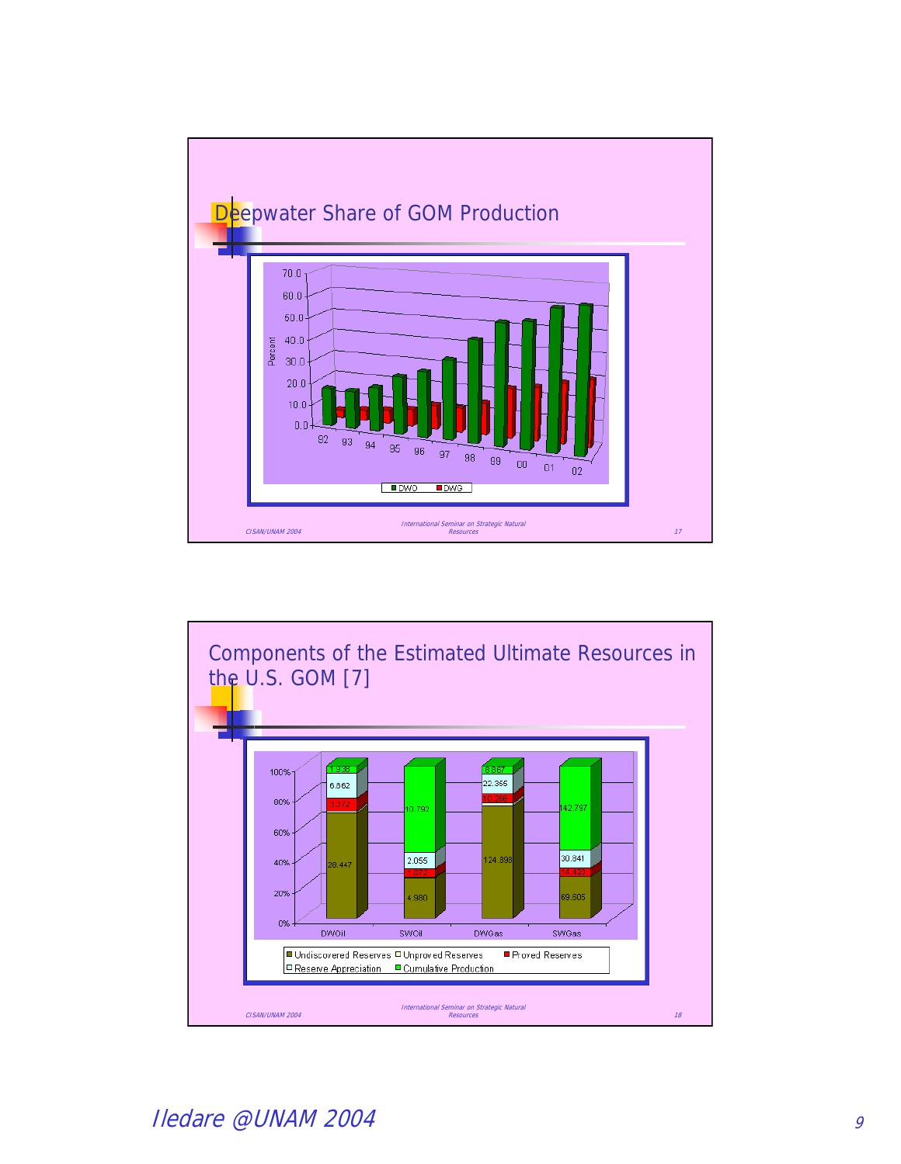

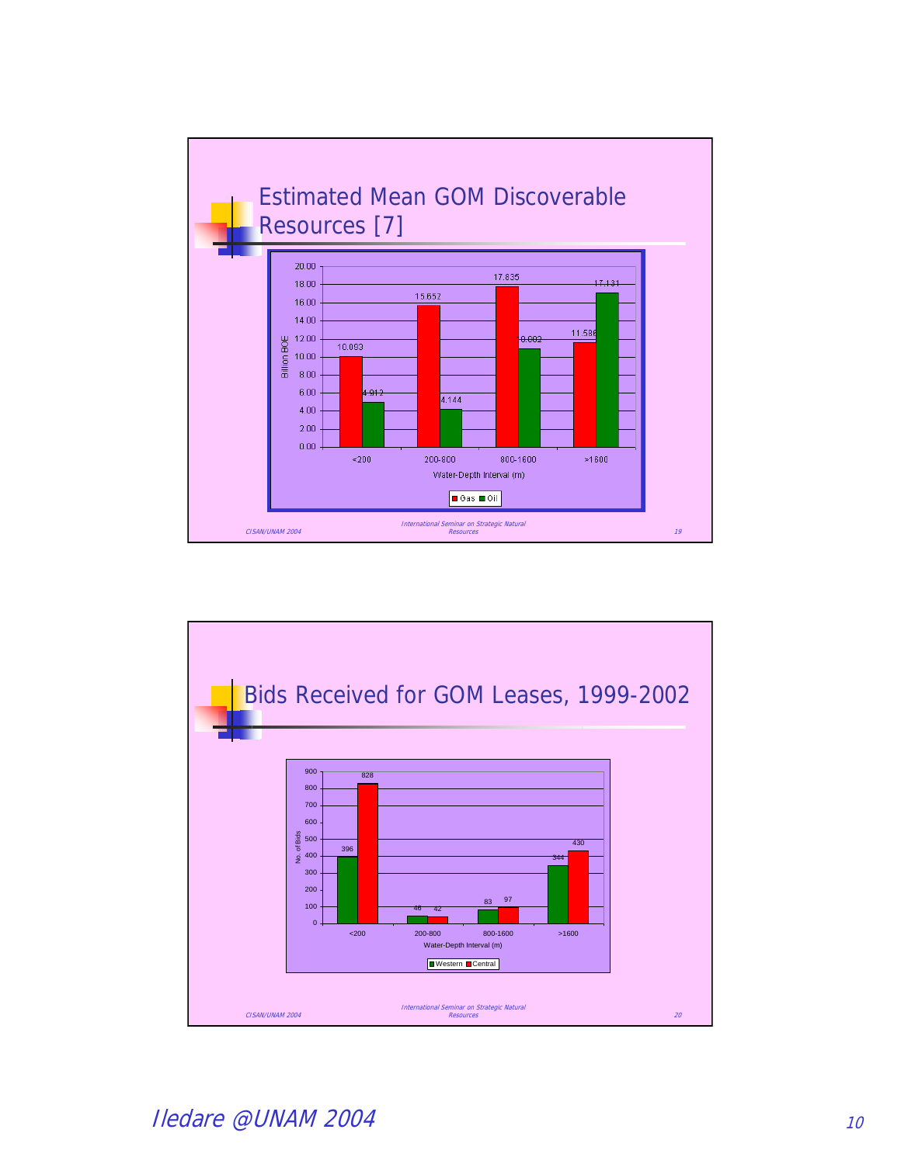

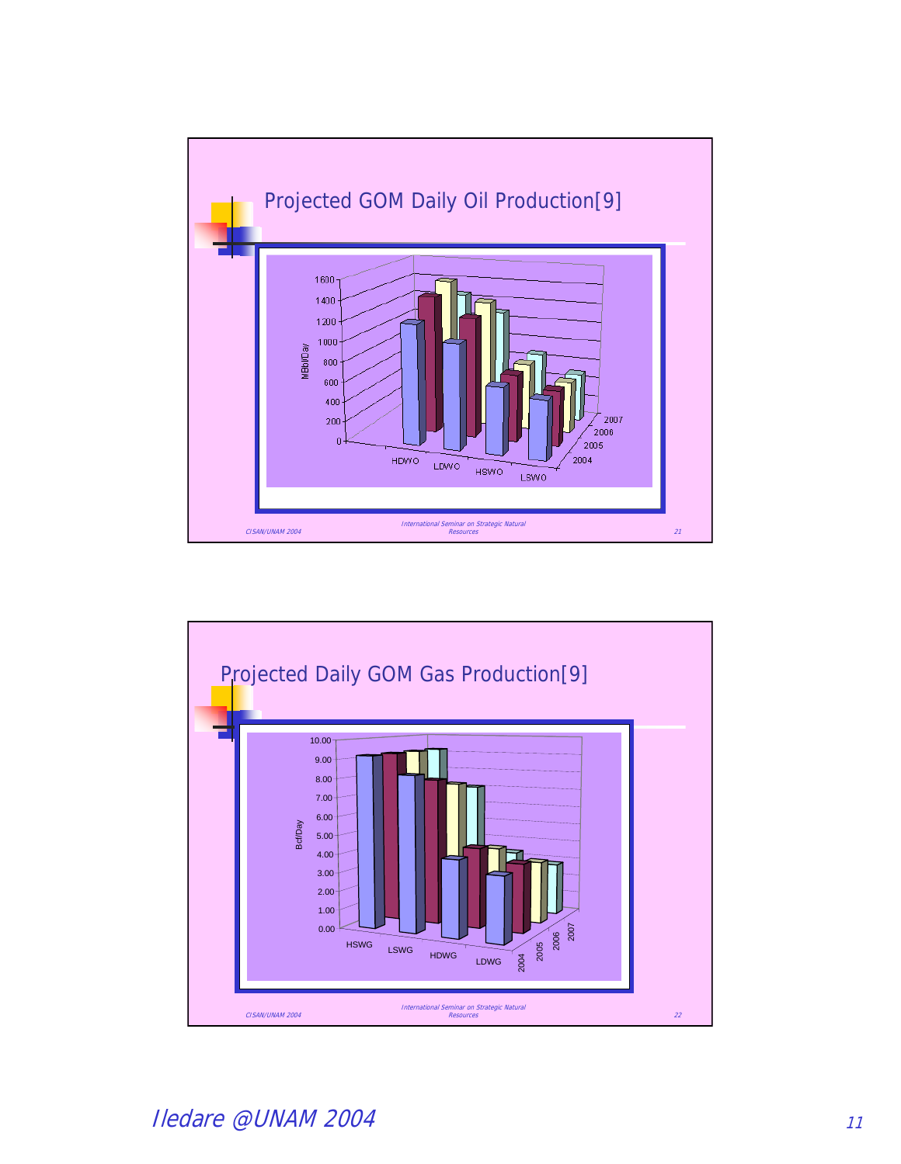

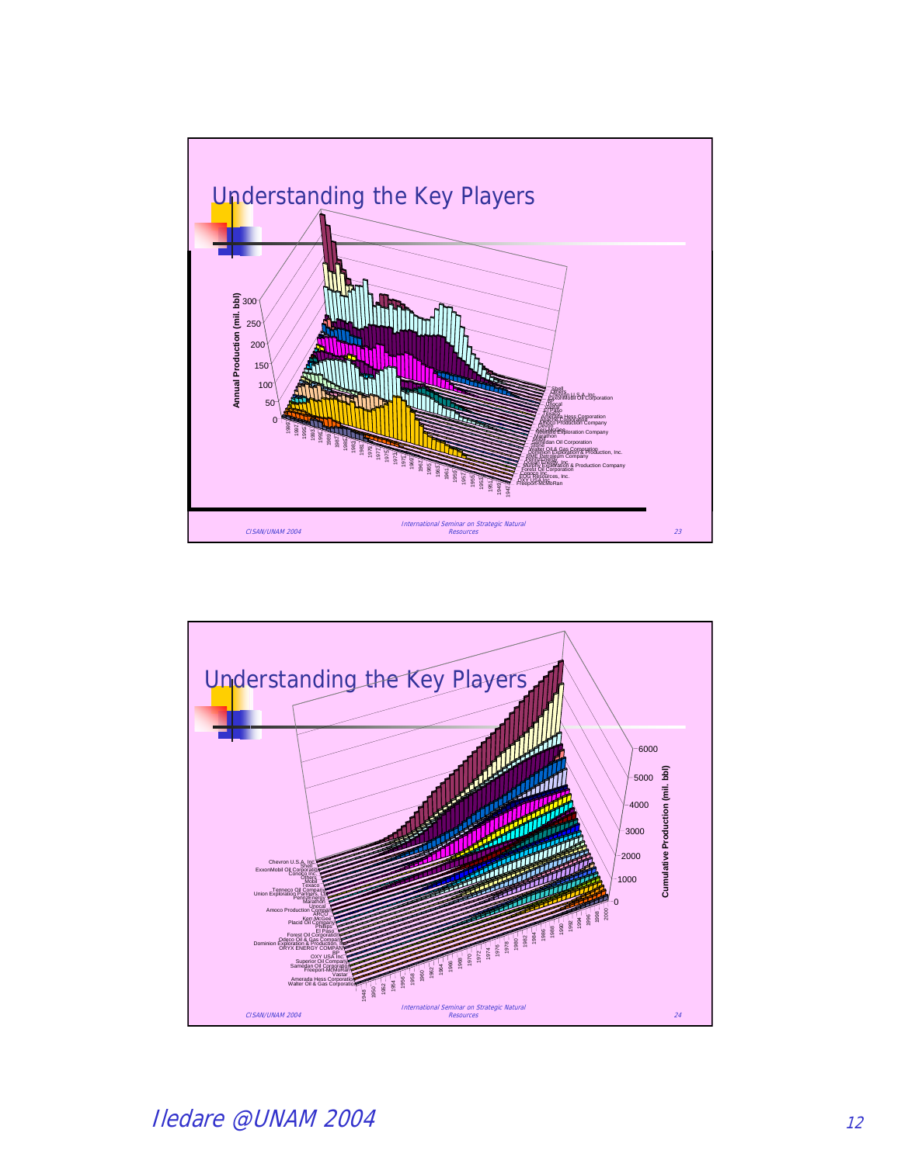